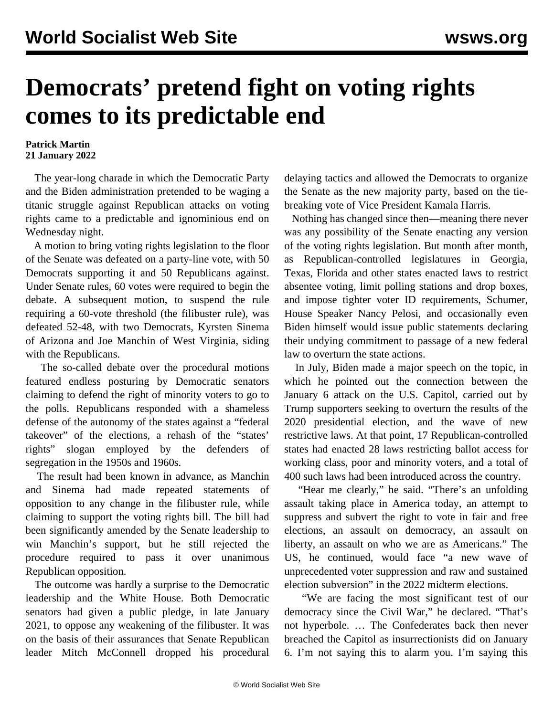## **Democrats' pretend fight on voting rights comes to its predictable end**

## **Patrick Martin 21 January 2022**

 The year-long charade in which the Democratic Party and the Biden administration pretended to be waging a titanic struggle against Republican attacks on voting rights came to a predictable and ignominious end on Wednesday night.

 A motion to bring voting rights legislation to the floor of the Senate was defeated on a party-line vote, with 50 Democrats supporting it and 50 Republicans against. Under Senate rules, 60 votes were required to begin the debate. A subsequent motion, to suspend the rule requiring a 60-vote threshold (the filibuster rule), was defeated 52-48, with two Democrats, Kyrsten Sinema of Arizona and Joe Manchin of West Virginia, siding with the Republicans.

 The so-called debate over the procedural motions featured endless posturing by Democratic senators claiming to defend the right of minority voters to go to the polls. Republicans responded with a shameless defense of the autonomy of the states against a "federal takeover" of the elections, a rehash of the "states' rights" slogan employed by the defenders of segregation in the 1950s and 1960s.

 The result had been known in advance, as Manchin and Sinema had made repeated statements of opposition to any change in the filibuster rule, while claiming to support the voting rights bill. The bill had been significantly amended by the Senate leadership to win Manchin's support, but he still rejected the procedure required to pass it over unanimous Republican opposition.

 The outcome was hardly a surprise to the Democratic leadership and the White House. Both Democratic senators had given a public pledge, in late January 2021, to oppose any weakening of the filibuster. It was on the basis of their assurances that Senate Republican leader Mitch McConnell dropped his procedural delaying tactics and allowed the Democrats to organize the Senate as the new majority party, based on the tiebreaking vote of Vice President Kamala Harris.

 Nothing has changed since then—meaning there never was any possibility of the Senate enacting any version of the voting rights legislation. But month after month, as Republican-controlled legislatures in Georgia, Texas, Florida and other states enacted laws to restrict absentee voting, limit polling stations and drop boxes, and impose tighter voter ID requirements, Schumer, House Speaker Nancy Pelosi, and occasionally even Biden himself would issue public statements declaring their undying commitment to passage of a new federal law to overturn the state actions.

 In July, Biden made a major speech on the topic, in which he pointed out the connection between the January 6 attack on the U.S. Capitol, carried out by Trump supporters seeking to overturn the results of the 2020 presidential election, and the wave of new restrictive laws. At that point, 17 Republican-controlled states had enacted 28 laws restricting ballot access for working class, poor and minority voters, and a total of 400 such laws had been introduced across the country.

 "Hear me clearly," he said. "There's an unfolding assault taking place in America today, an attempt to suppress and subvert the right to vote in fair and free elections, an assault on democracy, an assault on liberty, an assault on who we are as Americans." The US, he continued, would face "a new wave of unprecedented voter suppression and raw and sustained election subversion" in the 2022 midterm elections.

 "We are facing the most significant test of our democracy since the Civil War," he declared. "That's not hyperbole. … The Confederates back then never breached the Capitol as insurrectionists did on January 6. I'm not saying this to alarm you. I'm saying this